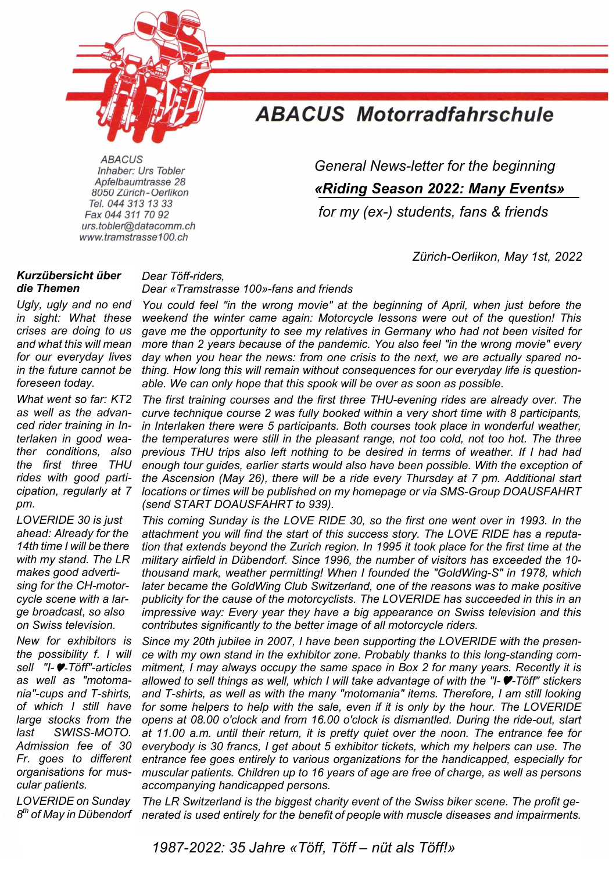

# **ABACUS Motorradfahrschule**

Apfelbaumtrasse 28 8050 Zürich - Oerlikon Tel. 044 313 13 33 Fax 044 311 70 92 urs.tobler@datacomm.ch www.tramstrasse100.ch

 *General News-letter for the beginning* 

*«Riding Season 2022: Many Events»* 

*for my (ex-) students, fans & friends* 

 *Zürich-Oerlikon, May 1st, 2022* 

## *Kurzübersicht über die Themen*

*Ugly, ugly and no end in sight: What these crises are doing to us and what this will mean for our everyday lives in the future cannot be foreseen today.* 

*What went so far: KT2 as well as the advanced rider training in Interlaken in good weather conditions, also the first three THU rides with good participation, regularly at 7 pm.* 

*LOVERIDE 30 is just ahead: Already for the 14th time I will be there with my stand. The LR makes good advertising for the CH-motorcycle scene with a large broadcast, so also on Swiss television.* 

*New for exhibitors is the possibility f. I will sell "I-*-*Töff"-articles as well as "motomania"-cups and T-shirts, of which I still have large stocks from the last SWISS-MOTO. Admission fee of 30 Fr. goes to different organisations for muscular patients.* 

*LOVERIDE on Sunday* 

#### *Dear Töff-riders,*

## *Dear «Tramstrasse 100»-fans and friends*

*You could feel "in the wrong movie" at the beginning of April, when just before the weekend the winter came again: Motorcycle lessons were out of the question! This gave me the opportunity to see my relatives in Germany who had not been visited for more than 2 years because of the pandemic. You also feel "in the wrong movie" every day when you hear the news: from one crisis to the next, we are actually spared nothing. How long this will remain without consequences for our everyday life is questionable. We can only hope that this spook will be over as soon as possible.* 

*The first training courses and the first three THU-evening rides are already over. The curve technique course 2 was fully booked within a very short time with 8 participants, in Interlaken there were 5 participants. Both courses took place in wonderful weather, the temperatures were still in the pleasant range, not too cold, not too hot. The three previous THU trips also left nothing to be desired in terms of weather. If I had had enough tour guides, earlier starts would also have been possible. With the exception of the Ascension (May 26), there will be a ride every Thursday at 7 pm. Additional start locations or times will be published on my homepage or via SMS-Group DOAUSFAHRT (send START DOAUSFAHRT to 939).* 

*This coming Sunday is the LOVE RIDE 30, so the first one went over in 1993. In the attachment you will find the start of this success story. The LOVE RIDE has a reputation that extends beyond the Zurich region. In 1995 it took place for the first time at the military airfield in Dübendorf. Since 1996, the number of visitors has exceeded the 10 thousand mark, weather permitting! When I founded the "GoldWing-S" in 1978, which later became the GoldWing Club Switzerland, one of the reasons was to make positive publicity for the cause of the motorcyclists. The LOVERIDE has succeeded in this in an impressive way: Every year they have a big appearance on Swiss television and this contributes significantly to the better image of all motorcycle riders.* 

*Since my 20th jubilee in 2007, I have been supporting the LOVERIDE with the presence with my own stand in the exhibitor zone. Probably thanks to this long-standing commitment, I may always occupy the same space in Box 2 for many years. Recently it is allowed to sell things as well, which I will take advantage of with the "I--Töff" stickers and T-shirts, as well as with the many "motomania" items. Therefore, I am still looking*  for some helpers to help with the sale, even if it is only by the hour. The LOVERIDE *opens at 08.00 o'clock and from 16.00 o'clock is dismantled. During the ride-out, start at 11.00 a.m. until their return, it is pretty quiet over the noon. The entrance fee for everybody is 30 francs, I get about 5 exhibitor tickets, which my helpers can use. The entrance fee goes entirely to various organizations for the handicapped, especially for muscular patients. Children up to 16 years of age are free of charge, as well as persons accompanying handicapped persons.* 

*The LR Switzerland is the biggest charity event of the Swiss biker scene. The profit ge-* $B<sup>th</sup>$  of May in Dübendorf nerated is used entirely for the benefit of people with muscle diseases and impairments.

Willkommen sind alle Gäste, zu Fuss, mit dem Auto, mit dem Töff oder Roller. Es wird ein riesiges *All 1987-2022: 35 Jahre «Töff, Töff – nüt als Töff!»*